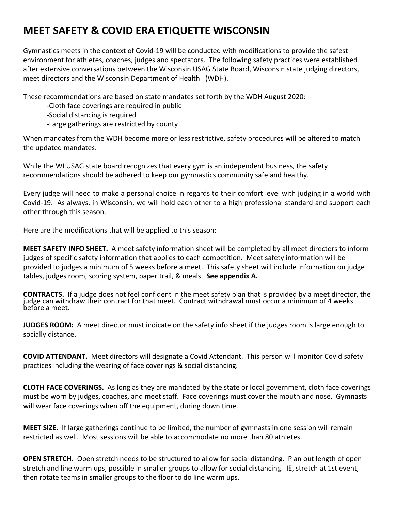## **MEET SAFETY & COVID ERA ETIQUETTE WISCONSIN**

Gymnastics meets in the context of Covid-19 will be conducted with modifications to provide the safest environment for athletes, coaches, judges and spectators. The following safety practices were established after extensive conversations between the Wisconsin USAG State Board, Wisconsin state judging directors, meet directors and the Wisconsin Department of Health (WDH).

These recommendations are based on state mandates set forth by the WDH August 2020:

- -Cloth face coverings are required in public
- -Social distancing is required
- -Large gatherings are restricted by county

When mandates from the WDH become more or less restrictive, safety procedures will be altered to match the updated mandates.

While the WI USAG state board recognizes that every gym is an independent business, the safety recommendations should be adhered to keep our gymnastics community safe and healthy.

Every judge will need to make a personal choice in regards to their comfort level with judging in a world with Covid-19. As always, in Wisconsin, we will hold each other to a high professional standard and support each other through this season.

Here are the modifications that will be applied to this season:

**MEET SAFETY INFO SHEET.** A meet safety information sheet will be completed by all meet directors to inform judges of specific safety information that applies to each competition. Meet safety information will be provided to judges a minimum of 5 weeks before a meet. This safety sheet will include information on judge tables, judges room, scoring system, paper trail, & meals. **See appendix A.** 

**CONTRACTS.** If a judge does not feel confident in the meet safety plan that is provided by a meet director, the judge can withdraw their contract for that meet. Contract withdrawal must occur a minimum of 4 weeks before a meet.

**JUDGES ROOM:** A meet director must indicate on the safety info sheet if the judges room is large enough to socially distance.

**COVID ATTENDANT.** Meet directors will designate a Covid Attendant. This person will monitor Covid safety practices including the wearing of face coverings & social distancing.

**CLOTH FACE COVERINGS.**  As long as they are mandated by the state or local government, cloth face coverings must be worn by judges, coaches, and meet staff. Face coverings must cover the mouth and nose. Gymnasts will wear face coverings when off the equipment, during down time.

**MEET SIZE.** If large gatherings continue to be limited, the number of gymnasts in one session will remain restricted as well. Most sessions will be able to accommodate no more than 80 athletes.

**OPEN STRETCH.** Open stretch needs to be structured to allow for social distancing. Plan out length of open stretch and line warm ups, possible in smaller groups to allow for social distancing. IE, stretch at 1st event, then rotate teams in smaller groups to the floor to do line warm ups.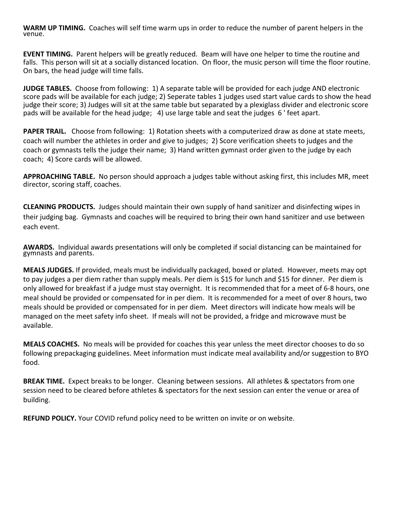**WARM UP TIMING.** Coaches will self time warm ups in order to reduce the number of parent helpers in the venue.

**EVENT TIMING.** Parent helpers will be greatly reduced. Beam will have one helper to time the routine and falls. This person will sit at a socially distanced location. On floor, the music person will time the floor routine. On bars, the head judge will time falls.

**JUDGE TABLES.** Choose from following: 1) A separate table will be provided for each judge AND electronic score pads will be available for each judge; 2) Seperate tables 1 judges used start value cards to show the head judge their score; 3) Judges will sit at the same table but separated by a plexiglass divider and electronic score pads will be available for the head judge; 4) use large table and seat the judges 6 ' feet apart.

**PAPER TRAIL.** Choose from following: 1) Rotation sheets with a computerized draw as done at state meets, coach will number the athletes in order and give to judges; 2) Score verification sheets to judges and the coach or gymnasts tells the judge their name; 3) Hand written gymnast order given to the judge by each coach; 4) Score cards will be allowed.

**APPROACHING TABLE.** No person should approach a judges table without asking first, this includes MR, meet director, scoring staff, coaches.

**CLEANING PRODUCTS.** Judges should maintain their own supply of hand sanitizer and disinfecting wipes in their judging bag. Gymnasts and coaches will be required to bring their own hand sanitizer and use between each event.

**AWARDS.** Individual awards presentations will only be completed if social distancing can be maintained for gymnasts and parents.

**MEALS JUDGES.** If provided, meals must be individually packaged, boxed or plated. However, meets may opt to pay judges a per diem rather than supply meals. Per diem is \$15 for lunch and \$15 for dinner. Per diem is only allowed for breakfast if a judge must stay overnight. It is recommended that for a meet of 6-8 hours, one meal should be provided or compensated for in per diem. It is recommended for a meet of over 8 hours, two meals should be provided or compensated for in per diem. Meet directors will indicate how meals will be managed on the meet safety info sheet. If meals will not be provided, a fridge and microwave must be available.

**MEALS COACHES.** No meals will be provided for coaches this year unless the meet director chooses to do so following prepackaging guidelines. Meet information must indicate meal availability and/or suggestion to BYO food.

**BREAK TIME.** Expect breaks to be longer. Cleaning between sessions. All athletes & spectators from one session need to be cleared before athletes & spectators for the next session can enter the venue or area of building.

**REFUND POLICY.** Your COVID refund policy need to be written on invite or on website.